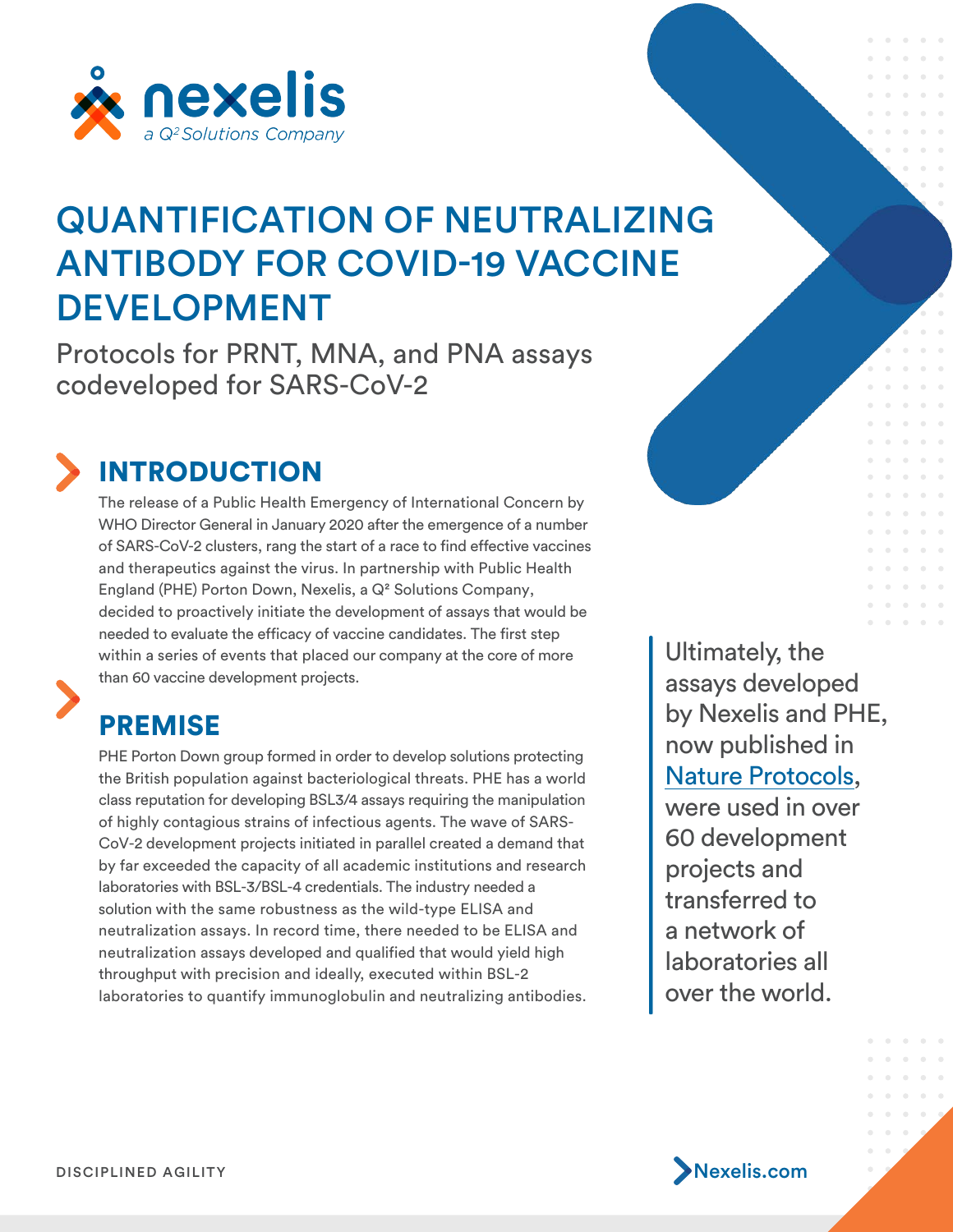

# QUANTIFICATION OF NEUTRALIZING ANTIBODY FOR COVID-19 VACCINE DEVELOPMENT

Protocols for PRNT, MNA, and PNA assays codeveloped for SARS-CoV-2



# INTRODUCTION

The release of a Public Health Emergency of International Concern by WHO Director General in January 2020 after the emergence of a number of SARS-CoV-2 clusters, rang the start of a race to find effective vaccines and therapeutics against the virus. In partnership with Public Health England (PHE) Porton Down, Nexelis, a Q² Solutions Company, decided to proactively initiate the development of assays that would be needed to evaluate the efficacy of vaccine candidates. The first step within a series of events that placed our company at the core of more than 60 vaccine development projects.

### PREMISE

PHE Porton Down group formed in order to develop solutions protecting the British population against bacteriological threats. PHE has a world class reputation for developing BSL3/4 assays requiring the manipulation of highly contagious strains of infectious agents. The wave of SARS-CoV-2 development projects initiated in parallel created a demand that by far exceeded the capacity of all academic institutions and research laboratories with BSL-3/BSL-4 credentials. The industry needed a solution with the same robustness as the wild-type ELISA and neutralization assays. In record time, there needed to be ELISA and neutralization assays developed and qualified that would yield high throughput with precision and ideally, executed within BSL-2 laboratories to quantify immunoglobulin and neutralizing antibodies. Ultimately, the assays developed by Nexelis and PHE, now published in [Nature Protocols,](https://www.nature.com/articles/s41596-021-00536-y) were used in over 60 development projects and transferred to a network of laboratories all over the world.



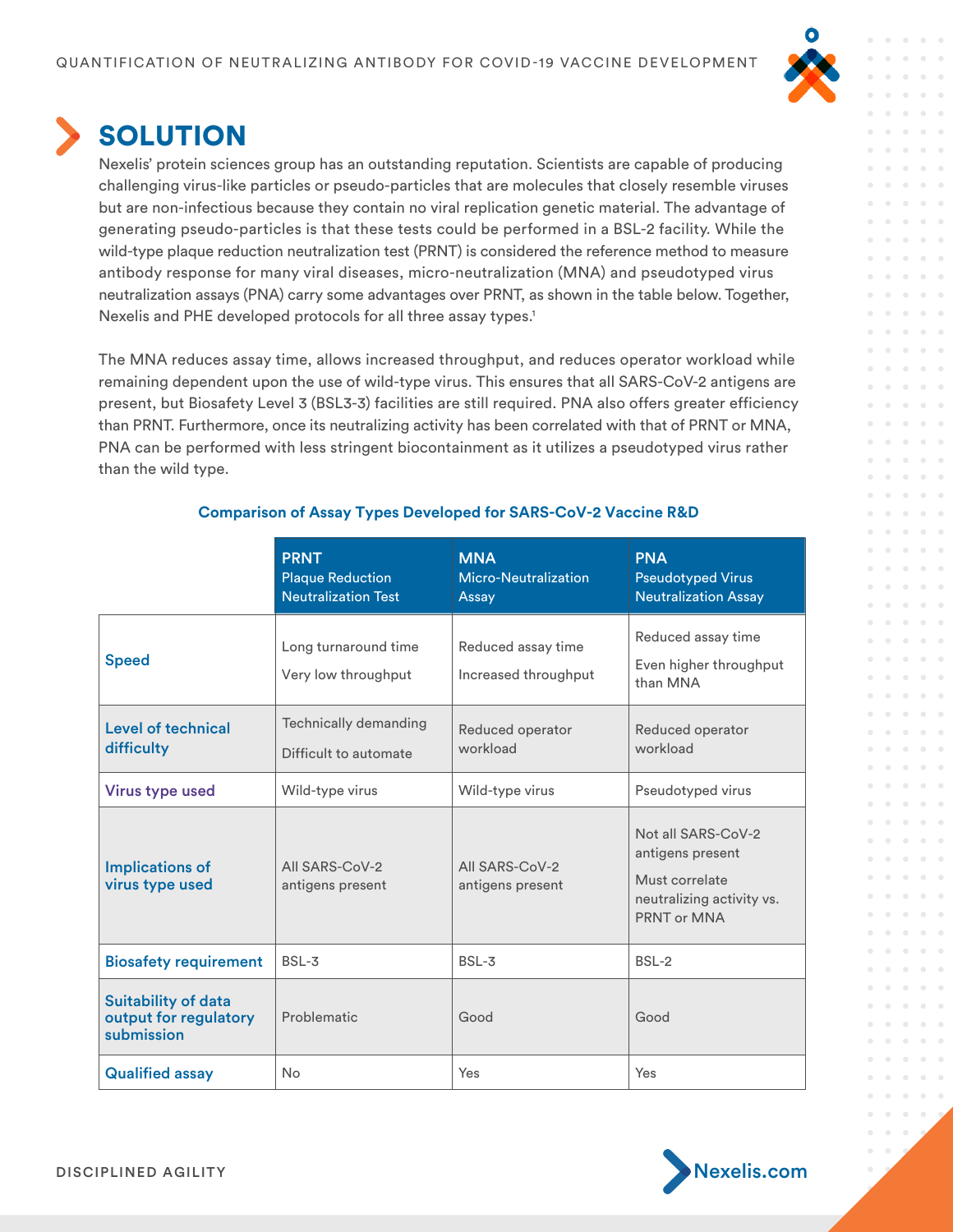

 $\alpha$ 

 $\bullet$  $\alpha$ 

 $\overline{\phantom{a}}$  $\sim$   $\sim$  $\triangle$ 

 $\alpha$ 

 $\alpha$ 

 $\alpha$ 

 $\sim$ 

 $\alpha$  $\alpha$  $\sim$   $\sim$  $\overline{\phantom{a}}$ 

 $\sim$  $\mathbf{0}$  =  $\mathbf{0}$  $-10$  $\triangle$  $\alpha$  $\bullet$  $\bullet$  $\sim$   $\sim$  $\alpha$ 

 $-10$  $\sim$   $\sim$  $-10$ 

> $\overline{\phantom{a}}$  $\bullet$  $\bullet$

 $\rightarrow$  $\bullet$  $-0$ 

## **SOLUTION**

Nexelis' protein sciences group has an outstanding reputation. Scientists are capable of producing challenging virus-like particles or pseudo-particles that are molecules that closely resemble viruses but are non-infectious because they contain no viral replication genetic material. The advantage of generating pseudo-particles is that these tests could be performed in a BSL-2 facility. While the wild-type plaque reduction neutralization test (PRNT) is considered the reference method to measure antibody response for many viral diseases, micro-neutralization (MNA) and pseudotyped virus neutralization assays (PNA) carry some advantages over PRNT, as shown in the table below. Together, Nexelis and PHE developed protocols for all three assay types. 1

The MNA reduces assay time, allows increased throughput, and reduces operator workload while remaining dependent upon the use of wild-type virus. This ensures that all SARS-CoV-2 antigens are present, but Biosafety Level 3 (BSL3-3) facilities are still required. PNA also offers greater efficiency than PRNT. Furthermore, once its neutralizing activity has been correlated with that of PRNT or MNA, PNA can be performed with less stringent biocontainment as it utilizes a pseudotyped virus rather than the wild type.

|                                                                   | <b>PRNT</b><br><b>Plaque Reduction</b><br><b>Neutralization Test</b> | <b>MNA</b><br>Micro-Neutralization<br>Assay | <b>PNA</b><br><b>Pseudotyped Virus</b><br><b>Neutralization Assay</b>                                |
|-------------------------------------------------------------------|----------------------------------------------------------------------|---------------------------------------------|------------------------------------------------------------------------------------------------------|
| <b>Speed</b>                                                      | Long turnaround time<br>Very low throughput                          | Reduced assay time<br>Increased throughput  | Reduced assay time<br>Even higher throughput<br>than MNA                                             |
| Level of technical<br>difficulty                                  | Technically demanding<br>Difficult to automate                       | Reduced operator<br>workload                | Reduced operator<br>workload                                                                         |
| <b>Virus type used</b>                                            | Wild-type virus                                                      | Wild-type virus                             | Pseudotyped virus                                                                                    |
| <b>Implications of</b><br>virus type used                         | All SARS-CoV-2<br>antigens present                                   | All SARS-CoV-2<br>antigens present          | Not all SARS-CoV-2<br>antigens present<br>Must correlate<br>neutralizing activity vs.<br>PRNT or MNA |
| <b>Biosafety requirement</b>                                      | $BSL-3$                                                              | BSL-3                                       | BSL-2                                                                                                |
| <b>Suitability of data</b><br>output for regulatory<br>submission | Problematic                                                          | Good                                        | Good                                                                                                 |
| <b>Qualified assay</b>                                            | No                                                                   | Yes                                         | Yes                                                                                                  |

### **Comparison of Assay Types Developed for SARS-CoV-2 Vaccine R&D**

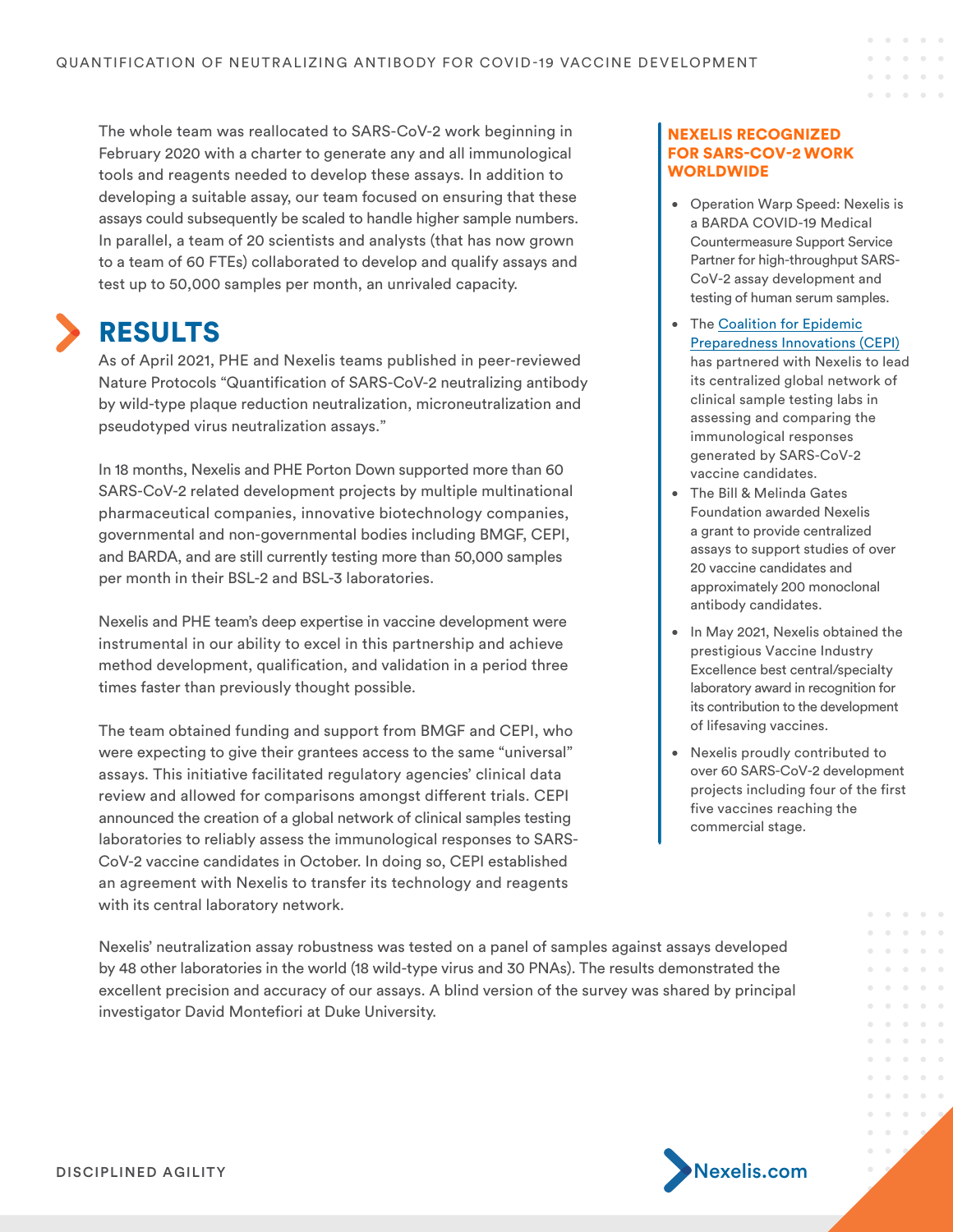The whole team was reallocated to SARS-CoV-2 work beginning in February 2020 with a charter to generate any and all immunological tools and reagents needed to develop these assays. In addition to developing a suitable assay, our team focused on ensuring that these assays could subsequently be scaled to handle higher sample numbers. In parallel, a team of 20 scientists and analysts (that has now grown to a team of 60 FTEs) collaborated to develop and qualify assays and test up to 50,000 samples per month, an unrivaled capacity.

### RESULTS

As of April 2021, PHE and Nexelis teams published in peer-reviewed Nature Protocols "Quantification of SARS-CoV-2 neutralizing antibody by wild-type plaque reduction neutralization, microneutralization and pseudotyped virus neutralization assays."

In 18 months, Nexelis and PHE Porton Down supported more than 60 SARS-CoV-2 related development projects by multiple multinational pharmaceutical companies, innovative biotechnology companies, governmental and non-governmental bodies including BMGF, CEPI, and BARDA, and are still currently testing more than 50,000 samples per month in their BSL-2 and BSL-3 laboratories.

Nexelis and PHE team's deep expertise in vaccine development were instrumental in our ability to excel in this partnership and achieve method development, qualification, and validation in a period three times faster than previously thought possible.

The team obtained funding and support from BMGF and CEPI, who were expecting to give their grantees access to the same "universal" assays. This initiative facilitated regulatory agencies' clinical data review and allowed for comparisons amongst different trials. CEPI announced the creation of a global network of clinical samples testing laboratories to reliably assess the immunological responses to SARS-CoV-2 vaccine candidates in October. In doing so, CEPI established an agreement with Nexelis to transfer its technology and reagents with its central laboratory network.

Nexelis' neutralization assay robustness was tested on a panel of samples against assays developed by 48 other laboratories in the world (18 wild-type virus and 30 PNAs). The results demonstrated the excellent precision and accuracy of our assays. A blind version of the survey was shared by principal investigator David Montefiori at Duke University.

#### NEXELIS RECOGNIZED FOR SARS-COV-2 WORK **WORLDWIDE**

• Operation Warp Speed: Nexelis is a BARDA COVID-19 Medical Countermeasure Support Service Partner for high-throughput SARS-CoV-2 assay development and testing of human serum samples.

 $\alpha$  $\sim$  $\sim$   $-$ 

- Th[e Coalition for Epidemic](https://cepi.net/) [Preparedness Innovations \(CEPI\)](https://cepi.net/) has partnered with Nexelis to lead its centralized global network of clinical sample testing labs in assessing and comparing the immunological responses generated by SARS-CoV-2 vaccine candidates.
- The Bill & Melinda Gates Foundation awarded Nexelis a grant to provide centralized assays to support studies of over 20 vaccine candidates and approximately 200 monoclonal antibody candidates.
- In May 2021, Nexelis obtained the prestigious Vaccine Industry Excellence best central/specialty laboratory award in recognition for its contribution to the development of lifesaving vaccines.
- Nexelis proudly contributed to over 60 SARS-CoV-2 development projects including four of the first five vaccines reaching the commercial stage.

 $\bullet$ 

 $\alpha$  $\bar{\alpha}$